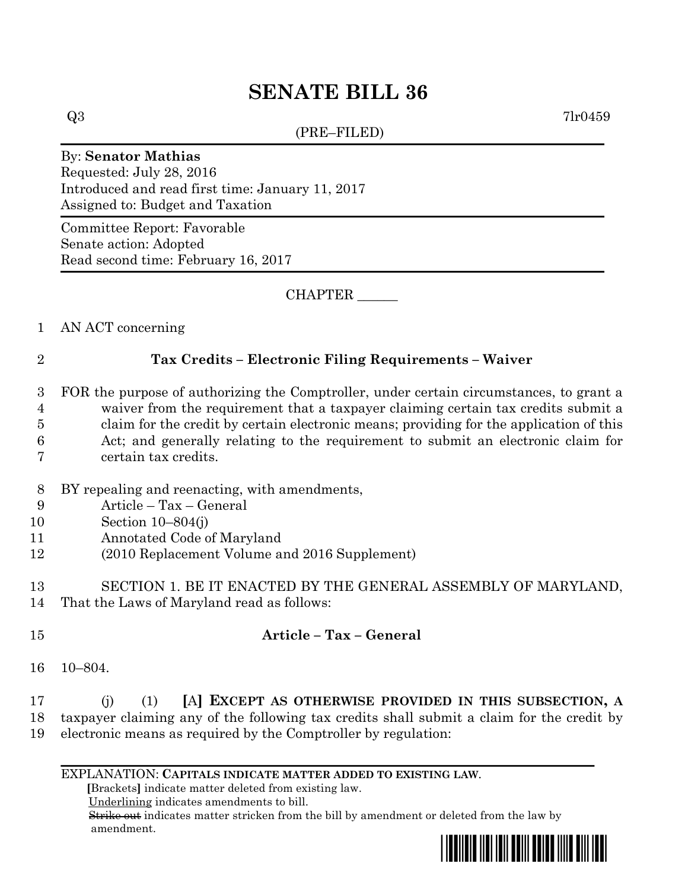# **SENATE BILL 36**

(PRE–FILED)

 $Q3$  7lr0459

#### By: **Senator Mathias**

Requested: July 28, 2016 Introduced and read first time: January 11, 2017 Assigned to: Budget and Taxation

Committee Report: Favorable Senate action: Adopted Read second time: February 16, 2017

CHAPTER \_\_\_\_\_\_

1 AN ACT concerning

## 2 **Tax Credits – Electronic Filing Requirements – Waiver**

- 3 FOR the purpose of authorizing the Comptroller, under certain circumstances, to grant a 4 waiver from the requirement that a taxpayer claiming certain tax credits submit a 5 claim for the credit by certain electronic means; providing for the application of this 6 Act; and generally relating to the requirement to submit an electronic claim for 7 certain tax credits.
- 8 BY repealing and reenacting, with amendments,
- 9 Article Tax General
- 10 Section 10–804(j)
- 11 Annotated Code of Maryland
- 12 (2010 Replacement Volume and 2016 Supplement)
- 13 SECTION 1. BE IT ENACTED BY THE GENERAL ASSEMBLY OF MARYLAND, 14 That the Laws of Maryland read as follows:
- 15 **Article – Tax – General**
- 16 10–804.
- 17 (j) (1) **[**A**] EXCEPT AS OTHERWISE PROVIDED IN THIS SUBSECTION, A** 18 taxpayer claiming any of the following tax credits shall submit a claim for the credit by 19 electronic means as required by the Comptroller by regulation:
	- EXPLANATION: **CAPITALS INDICATE MATTER ADDED TO EXISTING LAW**.

 **[**Brackets**]** indicate matter deleted from existing law.

Underlining indicates amendments to bill.

 Strike out indicates matter stricken from the bill by amendment or deleted from the law by amendment.